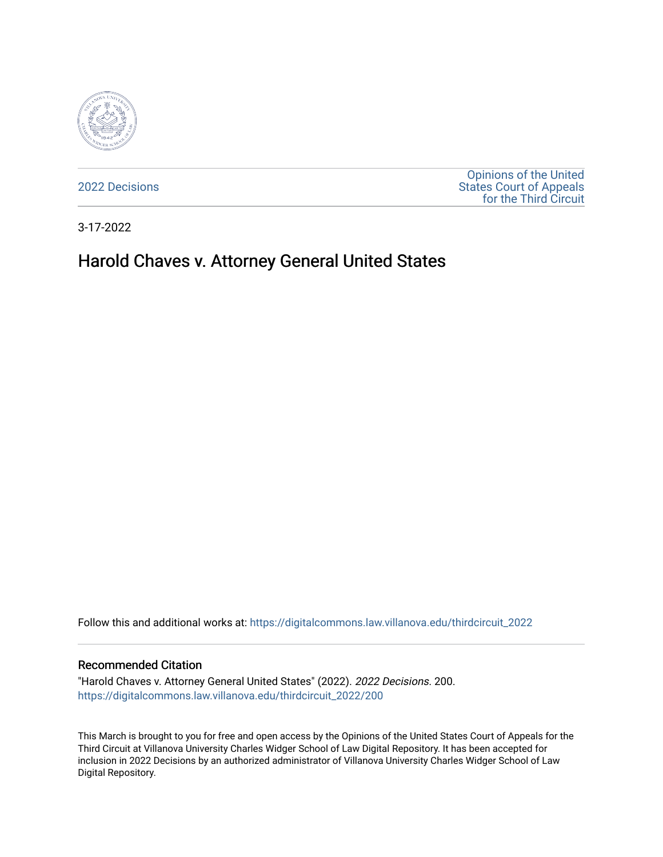

[2022 Decisions](https://digitalcommons.law.villanova.edu/thirdcircuit_2022)

[Opinions of the United](https://digitalcommons.law.villanova.edu/thirdcircuit)  [States Court of Appeals](https://digitalcommons.law.villanova.edu/thirdcircuit)  [for the Third Circuit](https://digitalcommons.law.villanova.edu/thirdcircuit) 

3-17-2022

# Harold Chaves v. Attorney General United States

Follow this and additional works at: [https://digitalcommons.law.villanova.edu/thirdcircuit\\_2022](https://digitalcommons.law.villanova.edu/thirdcircuit_2022?utm_source=digitalcommons.law.villanova.edu%2Fthirdcircuit_2022%2F200&utm_medium=PDF&utm_campaign=PDFCoverPages) 

#### Recommended Citation

"Harold Chaves v. Attorney General United States" (2022). 2022 Decisions. 200. [https://digitalcommons.law.villanova.edu/thirdcircuit\\_2022/200](https://digitalcommons.law.villanova.edu/thirdcircuit_2022/200?utm_source=digitalcommons.law.villanova.edu%2Fthirdcircuit_2022%2F200&utm_medium=PDF&utm_campaign=PDFCoverPages)

This March is brought to you for free and open access by the Opinions of the United States Court of Appeals for the Third Circuit at Villanova University Charles Widger School of Law Digital Repository. It has been accepted for inclusion in 2022 Decisions by an authorized administrator of Villanova University Charles Widger School of Law Digital Repository.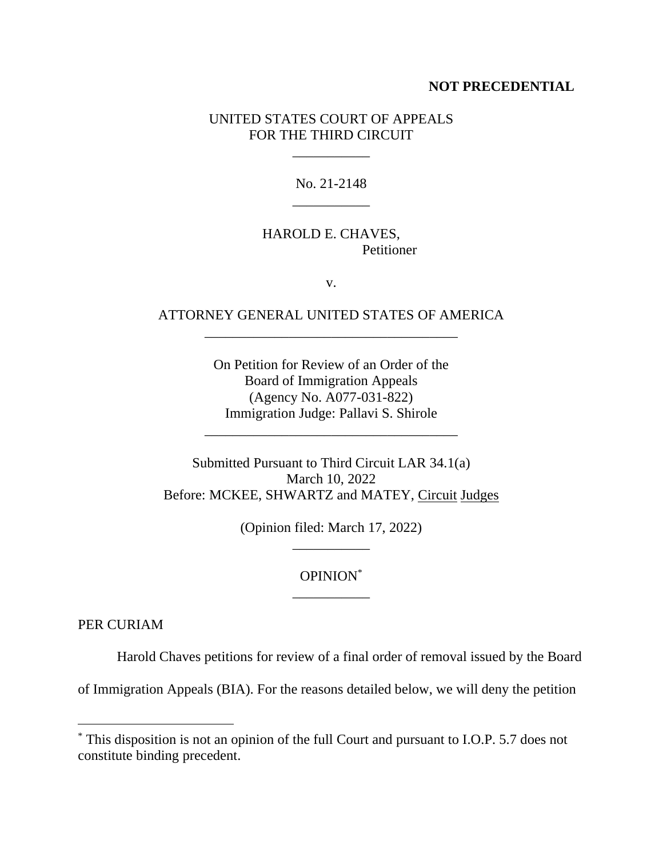#### **NOT PRECEDENTIAL**

### UNITED STATES COURT OF APPEALS FOR THE THIRD CIRCUIT

\_\_\_\_\_\_\_\_\_\_\_

No. 21-2148 \_\_\_\_\_\_\_\_\_\_\_

### HAROLD E. CHAVES, Petitioner

v.

## ATTORNEY GENERAL UNITED STATES OF AMERICA \_\_\_\_\_\_\_\_\_\_\_\_\_\_\_\_\_\_\_\_\_\_\_\_\_\_\_\_\_\_\_\_\_\_\_\_

On Petition for Review of an Order of the Board of Immigration Appeals (Agency No. A077-031-822) Immigration Judge: Pallavi S. Shirole

\_\_\_\_\_\_\_\_\_\_\_\_\_\_\_\_\_\_\_\_\_\_\_\_\_\_\_\_\_\_\_\_\_\_\_\_

Submitted Pursuant to Third Circuit LAR 34.1(a) March 10, 2022 Before: MCKEE, SHWARTZ and MATEY, Circuit Judges

> (Opinion filed: March 17, 2022) \_\_\_\_\_\_\_\_\_\_\_

### OPINION\* \_\_\_\_\_\_\_\_\_\_\_

PER CURIAM

Harold Chaves petitions for review of a final order of removal issued by the Board

of Immigration Appeals (BIA). For the reasons detailed below, we will deny the petition

<sup>\*</sup> This disposition is not an opinion of the full Court and pursuant to I.O.P. 5.7 does not constitute binding precedent.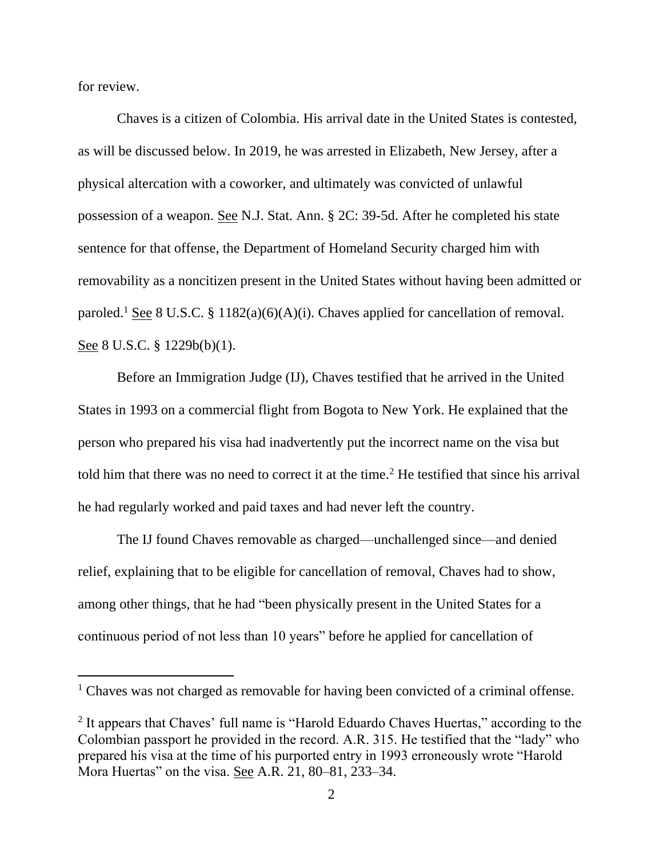for review.

Chaves is a citizen of Colombia. His arrival date in the United States is contested, as will be discussed below. In 2019, he was arrested in Elizabeth, New Jersey, after a physical altercation with a coworker, and ultimately was convicted of unlawful possession of a weapon. See N.J. Stat. Ann. § 2C: 39-5d. After he completed his state sentence for that offense, the Department of Homeland Security charged him with removability as a noncitizen present in the United States without having been admitted or paroled.<sup>1</sup> See 8 U.S.C. § 1182(a)(6)(A)(i). Chaves applied for cancellation of removal. See 8 U.S.C. § 1229b(b)(1).

Before an Immigration Judge (IJ), Chaves testified that he arrived in the United States in 1993 on a commercial flight from Bogota to New York. He explained that the person who prepared his visa had inadvertently put the incorrect name on the visa but told him that there was no need to correct it at the time.<sup>2</sup> He testified that since his arrival he had regularly worked and paid taxes and had never left the country.

The IJ found Chaves removable as charged—unchallenged since—and denied relief, explaining that to be eligible for cancellation of removal, Chaves had to show, among other things, that he had "been physically present in the United States for a continuous period of not less than 10 years" before he applied for cancellation of

<sup>&</sup>lt;sup>1</sup> Chaves was not charged as removable for having been convicted of a criminal offense.

<sup>&</sup>lt;sup>2</sup> It appears that Chaves' full name is "Harold Eduardo Chaves Huertas," according to the Colombian passport he provided in the record. A.R. 315. He testified that the "lady" who prepared his visa at the time of his purported entry in 1993 erroneously wrote "Harold Mora Huertas" on the visa. See A.R. 21, 80–81, 233–34.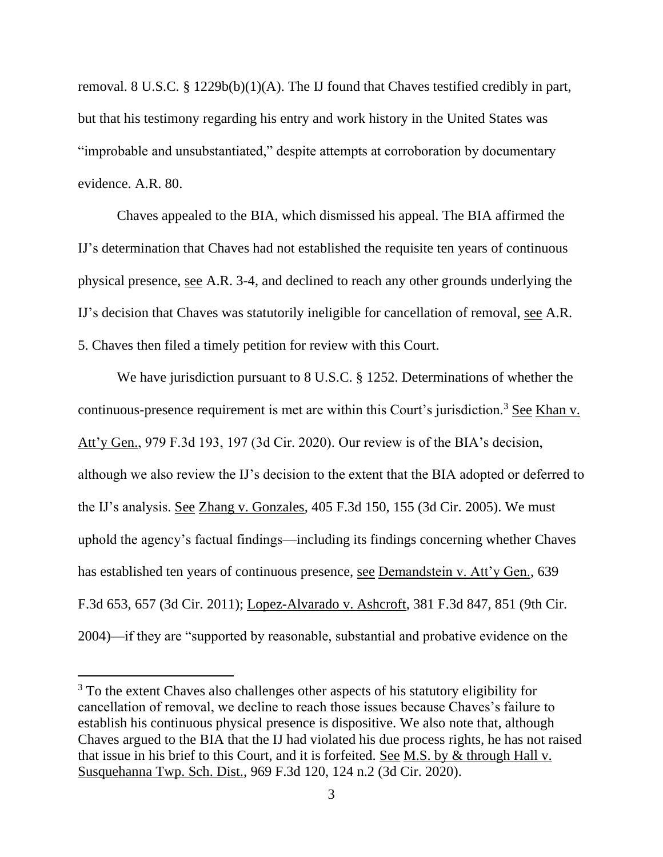removal. 8 U.S.C. § 1229b(b)(1)(A). The IJ found that Chaves testified credibly in part, but that his testimony regarding his entry and work history in the United States was "improbable and unsubstantiated," despite attempts at corroboration by documentary evidence. A.R. 80.

Chaves appealed to the BIA, which dismissed his appeal. The BIA affirmed the IJ's determination that Chaves had not established the requisite ten years of continuous physical presence, see A.R. 3-4, and declined to reach any other grounds underlying the IJ's decision that Chaves was statutorily ineligible for cancellation of removal, see A.R. 5. Chaves then filed a timely petition for review with this Court.

We have jurisdiction pursuant to 8 U.S.C. § 1252. Determinations of whether the continuous-presence requirement is met are within this Court's jurisdiction.<sup>3</sup> See Khan v. Att'y Gen., 979 F.3d 193, 197 (3d Cir. 2020). Our review is of the BIA's decision, although we also review the IJ's decision to the extent that the BIA adopted or deferred to the IJ's analysis. See Zhang v. Gonzales, 405 F.3d 150, 155 (3d Cir. 2005). We must uphold the agency's factual findings—including its findings concerning whether Chaves has established ten years of continuous presence, see Demandstein v. Att'y Gen., 639 F.3d 653, 657 (3d Cir. 2011); Lopez-Alvarado v. Ashcroft, 381 F.3d 847, 851 (9th Cir. 2004)—if they are "supported by reasonable, substantial and probative evidence on the

<sup>&</sup>lt;sup>3</sup> To the extent Chaves also challenges other aspects of his statutory eligibility for cancellation of removal, we decline to reach those issues because Chaves's failure to establish his continuous physical presence is dispositive. We also note that, although Chaves argued to the BIA that the IJ had violated his due process rights, he has not raised that issue in his brief to this Court, and it is forfeited. See M.S. by & through Hall v. Susquehanna Twp. Sch. Dist., 969 F.3d 120, 124 n.2 (3d Cir. 2020).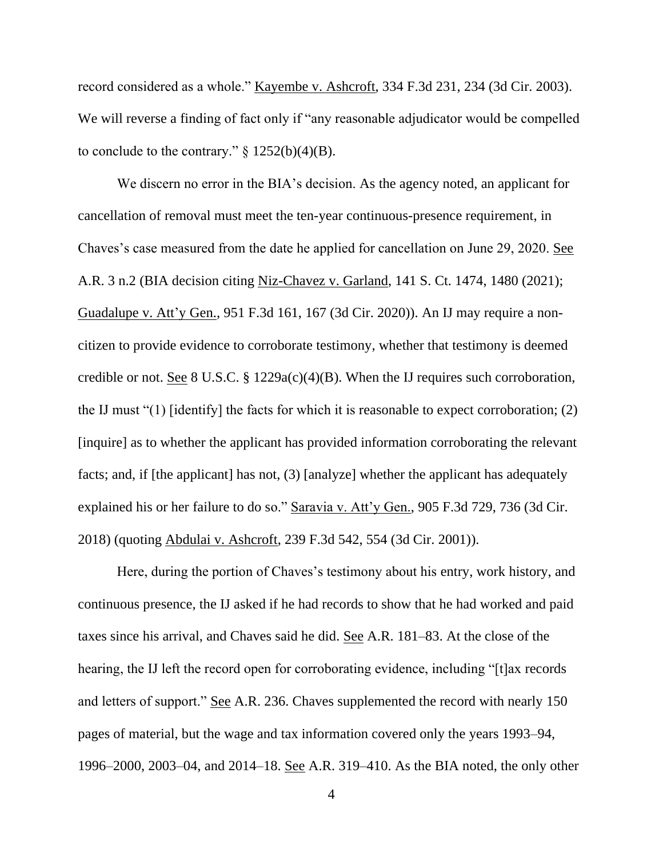record considered as a whole." Kayembe v. Ashcroft, 334 F.3d 231, 234 (3d Cir. 2003). We will reverse a finding of fact only if "any reasonable adjudicator would be compelled to conclude to the contrary."  $\S 1252(b)(4)(B)$ .

We discern no error in the BIA's decision. As the agency noted, an applicant for cancellation of removal must meet the ten-year continuous-presence requirement, in Chaves's case measured from the date he applied for cancellation on June 29, 2020. See A.R. 3 n.2 (BIA decision citing Niz-Chavez v. Garland, 141 S. Ct. 1474, 1480 (2021); Guadalupe v. Att'y Gen., 951 F.3d 161, 167 (3d Cir. 2020)). An IJ may require a noncitizen to provide evidence to corroborate testimony, whether that testimony is deemed credible or not. See 8 U.S.C. § 1229a(c)(4)(B). When the IJ requires such corroboration, the IJ must "(1) [identify] the facts for which it is reasonable to expect corroboration; (2) [inquire] as to whether the applicant has provided information corroborating the relevant facts; and, if [the applicant] has not, (3) [analyze] whether the applicant has adequately explained his or her failure to do so." Saravia v. Att'y Gen., 905 F.3d 729, 736 (3d Cir. 2018) (quoting Abdulai v. Ashcroft, 239 F.3d 542, 554 (3d Cir. 2001)).

Here, during the portion of Chaves's testimony about his entry, work history, and continuous presence, the IJ asked if he had records to show that he had worked and paid taxes since his arrival, and Chaves said he did. See A.R. 181–83. At the close of the hearing, the IJ left the record open for corroborating evidence, including "[t]ax records and letters of support." See A.R. 236. Chaves supplemented the record with nearly 150 pages of material, but the wage and tax information covered only the years 1993–94, 1996–2000, 2003–04, and 2014–18. See A.R. 319–410. As the BIA noted, the only other

4